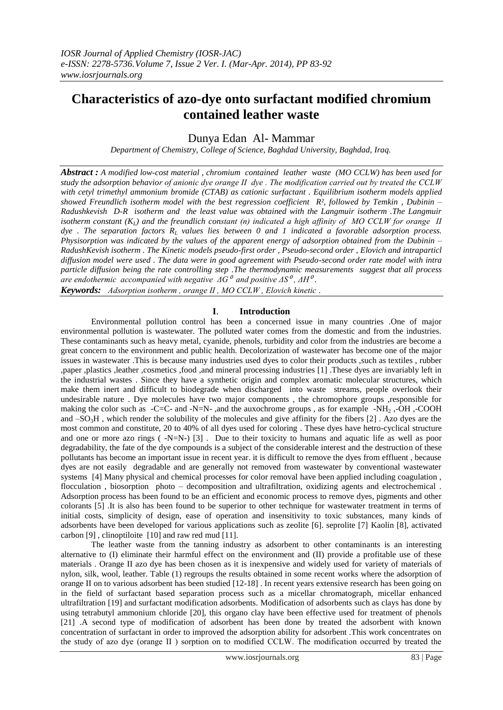# **Characteristics of azo-dye onto surfactant modified chromium contained leather waste**

Dunya Edan Al- Mammar

*Department of Chemistry, College of Science, Baghdad University, Baghdad, Iraq.*

*Abstract : A modified low-cost material , chromium contained leather waste (MO CCLW) has been used for study the adsorption behavior of anionic dye orange ӀӀ dye . The modification carried out by treated the CCLW with cetyl trimethyl ammonium bromide (CTAB) as cationic surfactant . Equilibrium isotherm models applied showed Freundlich isotherm model with the best regression coefficient R², followed by Temkin , Dubinin – Radushkevish D-R isotherm and the least value was obtained with the Langmuir isotherm .The Langmuir isotherm constant*  $(K_L)$  *and the freundlich constant (n) indicated a high affinity of MO CCLW for orange II dye . The separation factors RL values lies between 0 and 1 indicated a favorable adsorption process. Physisorption was indicated by the values of the apparent energy of adsorption obtained from the Dubinin – RadushKevish isotherm . The Kinetic models pseudo-first order , Pseudo-second order , Elovich and intraparticl diffusion model were used . The data were in good agreement with Pseudo-second order rate model with intra particle diffusion being the rate controlling step .The thermodynamic measurements suggest that all process are endothermic accompanied with negative*  $\Delta G^{\theta}$  *and positive*  $\Delta S^{\theta}$ *,*  $\Delta H^{\theta}$ *. Keywords: Adsorption isotherm , orange ӀӀ , MO CCLW , Elovich kinetic* .

## **I**. **Introduction**

 Environmental pollution control has been a concerned issue in many countries .One of major environmental pollution is wastewater. The polluted water comes from the domestic and from the industries. These contaminants such as heavy metal, cyanide, phenols, turbidity and color from the industries are become a great concern to the environment and public health. Decolorization of wastewater has become one of the major issues in wastewater .This is because many industries used dyes to color their products ,such as textiles , rubber ,paper ,plastics ,leather ,cosmetics ,food ,and mineral processing industries [1] .These dyes are invariably left in the industrial wastes . Since they have a synthetic origin and complex aromatic molecular structures, which make them inert and difficult to biodegrade when discharged into waste streams, people overlook their undesirable nature . Dye molecules have two major components , the chromophore groups ,responsible for making the color such as  $-C=C$ - and -N=N-, and the auxochrome groups, as for example -NH<sub>2</sub>,-OH,-COOH and  $-SO<sub>3</sub>H$ , which render the solubility of the molecules and give affinity for the fibers [2]. Azo dyes are the most common and constitute, 20 to 40% of all dyes used for coloring . These dyes have hetro-cyclical structure and one or more azo rings  $(-N=N-)$  [3]. Due to their toxicity to humans and aquatic life as well as poor degradability, the fate of the dye compounds is a subject of the considerable interest and the destruction of these pollutants has become an important issue in recent year. it is difficult to remove the dyes from effluent , because dyes are not easily degradable and are generally not removed from wastewater by conventional wastewater systems [4] Many physical and chemical processes for color removal have been applied including coagulation , flocculation , biosorption photo – decomposition and ultrafiltration, oxidizing agents and electrochemical . Adsorption process has been found to be an efficient and economic process to remove dyes, pigments and other colorants [5] .It is also has been found to be superior to other technique for wastewater treatment in terms of initial costs, simplicity of design, ease of operation and insensitivity to toxic substances, many kinds of adsorbents have been developed for various applications such as zeolite [6]. seprolite [7] Kaolin [8], activated carbon [9] , clinoptiloite [10] and raw red mud [11].

The leather waste from the tanning industry as adsorbent to other contaminants is an interesting alternative to (I) eliminate their harmful effect on the environment and (II) provide a profitable use of these materials . Orange II azo dye has been chosen as it is inexpensive and widely used for variety of materials of nylon, silk, wool, leather. Table (1) regroups the results obtained in some recent works where the adsorption of orange II on to various adsorbent has been studied [12-18]. In recent years extensive research has been going on in the field of surfactant based separation process such as a micellar chromatograph, micellar enhanced ultrafiltration [19] and surfactant modification adsorbents. Modification of adsorbents such as clays has done by using tetrabutyl ammonium chloride [20], this organo clay have been effective used for treatment of phenols [21] .A second type of modification of adsorbent has been done by treated the adsorbent with known concentration of surfactant in order to improved the adsorption ability for adsorbent .This work concentrates on the study of azo dye (orange ӀӀ ) sorption on to modified CCLW. The modification occurred by treated the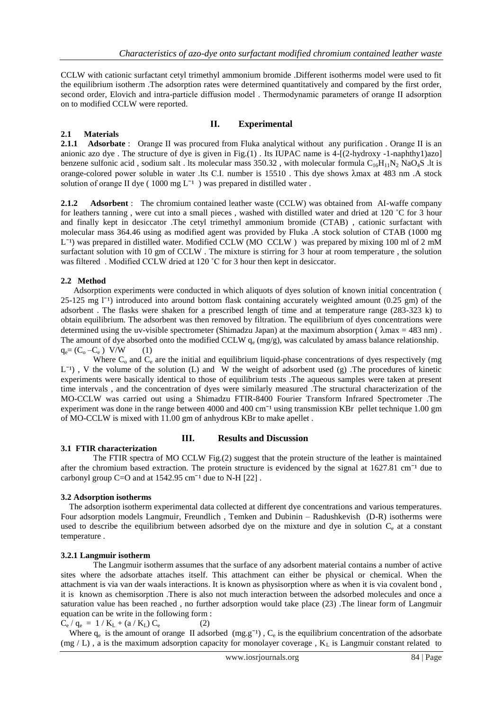CCLW with cationic surfactant cetyl trimethyl ammonium bromide .Different isotherms model were used to fit the equilibrium isotherm .The adsorption rates were determined quantitatively and compared by the first order, second order, Elovich and intra-particle diffusion model. Thermodynamic parameters of orange II adsorption on to modified CCLW were reported.

## **ӀӀ. Experimental**

## **2.1 Materials**

**2.1.1 Adsorbate** : Orange II was procured from Fluka analytical without any purification . Orange II is an anionic azo dye . The structure of dye is given in Fig.(1) . Its IUPAC name is 4-[(2-hydroxy -1-naphthy1)azo] benzene sulfonic acid, sodium salt. Its molecular mass 350.32, with molecular formula  $C_{16}H_{11}N_2$  NaO<sub>4</sub>S .lt is orange-colored power soluble in water .lts C.Ӏ. number is 15510 . This dye shows λmax at 483 nm .A stock solution of orange II dye ( $1000 \text{ mg } L^{-1}$ ) was prepared in distilled water.

**2.1.2 Adsorbent** : The chromium contained leather waste (CCLW) was obtained from AI-waffe company for leathers tanning, were cut into a small pieces, washed with distilled water and dried at 120 °C for 3 hour and finally kept in desiccator .The cetyl trimethyl ammonium bromide (CTAB) , cationic surfactant with molecular mass 364.46 using as modified agent was provided by Fluka .A stock solution of CTAB (1000 mg  $L^{-1}$ ) was prepared in distilled water. Modified CCLW (MO CCLW) was prepared by mixing 100 ml of 2 mM surfactant solution with 10 gm of CCLW . The mixture is stirring for 3 hour at room temperature , the solution was filtered. Modified CCLW dried at 120 °C for 3 hour then kept in desiccator.

## **2.2 Method**

 Adsorption experiments were conducted in which aliquots of dyes solution of known initial concentration (  $25-125$  mg  $1^{-1}$ ) introduced into around bottom flask containing accurately weighted amount (0.25 gm) of the adsorbent . The flasks were shaken for a prescribed length of time and at temperature range (283-323 k) to obtain equilibrium. The adsorbent was then removed by filtration. The equilibrium of dyes concentrations were determined using the uv-visible spectrometer (Shimadzu Japan) at the maximum absorption ( $\lambda$ max = 483 nm). The amount of dye absorbed onto the modified CCLW  $q_e$  (mg/g), was calculated by amass balance relationship.  $q_e = (C_o - C_e)$  V/W (1)

Where  $C_0$  and  $C_e$  are the initial and equilibrium liquid-phase concentrations of dyes respectively (mg)  $L^{-1}$ ), V the volume of the solution (L) and W the weight of adsorbent used (g). The procedures of kinetic experiments were basically identical to those of equilibrium tests .The aqueous samples were taken at present time intervals , and the concentration of dyes were similarly measured .The structural characterization of the MO-CCLW was carried out using a Shimadzu FTIR-8400 Fourier Transform Infrared Spectrometer .The experiment was done in the range between 4000 and 400 cm<sup>-1</sup> using transmission KBr pellet technique 1.00 gm of MO-CCLW is mixed with 11.00 gm of anhydrous KBr to make apellet .

## **III.** Results and Discussion

## **3.1 FTIR characterization**

 The FTIR spectra of MO CCLW Fig.(2) suggest that the protein structure of the leather is maintained after the chromium based extraction. The protein structure is evidenced by the signal at  $1627.81 \text{ cm}^{-1}$  due to carbonyl group  $C=O$  and at 1542.95 cm<sup>-1</sup> due to N-H [22].

## **3.2 Adsorption isotherms**

 The adsorption isotherm experimental data collected at different dye concentrations and various temperatures. Four adsorption models Langmuir, Freundlich , Temken and Dubinin – Radushkevish (D-R) isotherms were used to describe the equilibrium between adsorbed dye on the mixture and dye in solution  $C_e$  at a constant temperature .

## **3.2.1 Langmuir isotherm**

 The Langmuir isotherm assumes that the surface of any adsorbent material contains a number of active sites where the adsorbate attaches itself. This attachment can either be physical or chemical. When the attachment is via van der waals interactions. It is known as physisorption where as when it is via covalent bond , it is known as chemisorption .There is also not much interaction between the adsorbed molecules and once a saturation value has been reached , no further adsorption would take place (23) .The linear form of Langmuir equation can be write in the following form :

$$
C_e / q_e = 1 / K_L + (a / K_L) C_e \tag{2}
$$

Where  $q_e$  is the amount of orange II adsorbed  $(mg.g^{-1})$ ,  $C_e$  is the equilibrium concentration of the adsorbate (mg / L), a is the maximum adsorption capacity for monolayer coverage,  $K<sub>L</sub>$  is Langmuir constant related to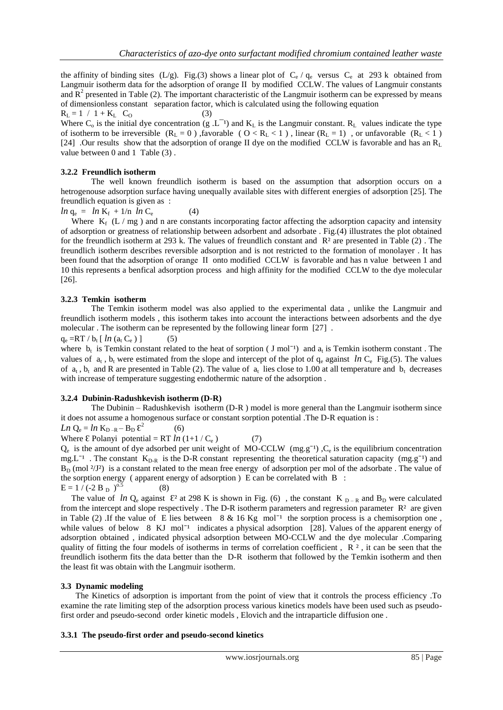the affinity of binding sites (L/g). Fig.(3) shows a linear plot of  $C_e / q_e$  versus  $C_e$  at 293 k obtained from Langmuir isotherm data for the adsorption of orange ӀӀ by modified CCLW. The values of Langmuir constants and  $\mathbb{R}^2$  presented in Table (2). The important characteristic of the Langmuir isotherm can be expressed by means of dimensionless constant separation factor, which is calculated using the following equation

 $R_L = 1 / 1 + K_L$  C<sub>O</sub> (3)

Where  $C_0$  is the initial dye concentration (g .L<sup>-1</sup>) and  $K_L$  is the Langmuir constant.  $R_L$  values indicate the type of isotherm to be irreversible  $(R_L = 0)$ , favorable  $(0 < R_L < 1)$ , linear  $(R_L = 1)$ , or unfavorable  $(R_L < 1)$ [24] .Our results show that the adsorption of orange II dye on the modified CCLW is favorable and has an R<sub>L</sub> value between 0 and 1 Table (3) .

#### **3.2.2 Freundlich isotherm**

The well known freundlich isotherm is based on the assumption that adsorption occurs on a hetrogenouse adsorption surface having unequally available sites with different energies of adsorption [25]. The freundlich equation is given as :

$$
ln q_e = ln K_f + 1/n ln C_e \qquad (4)
$$

Where  $K_f$  (L / mg) and n are constants incorporating factor affecting the adsorption capacity and intensity of adsorption or greatness of relationship between adsorbent and adsorbate . Fig.(4) illustrates the plot obtained for the freundlich isotherm at 293 k. The values of freundlich constant and R² are presented in Table (2) . The freundlich isotherm describes reversible adsorption and is not restricted to the formation of monolayer . It has been found that the adsorption of orange II onto modified CCLW is favorable and has n value between 1 and 10 this represents a benfical adsorption process and high affinity for the modified CCLW to the dye molecular [26].

#### **3.2.3 Temkin isotherm**

The Temkin isotherm model was also applied to the experimental data , unlike the Langmuir and freundlich isotherm models , this isotherm takes into account the interactions between adsorbents and the dye molecular . The isotherm can be represented by the following linear form [27] .

 $q_e = RT / b_t [ ln (a_t C_e)]$  (5)

where  $b_t$  is Temkin constant related to the heat of sorption ( J mol<sup>-1</sup>) and  $a_t$  is Temkin isotherm constant. The values of  $a_t$ ,  $b_t$  were estimated from the slope and intercept of the plot of  $q_e$  against *ln* C<sub>e</sub> Fig.(5). The values of  $a_t$ ,  $b_t$  and R are presented in Table (2). The value of  $a_t$  lies close to 1.00 at all temperature and  $b_t$  decreases with increase of temperature suggesting endothermic nature of the adsorption .

#### **3.2.4 Dubinin-Radushkevish isotherm (D-R)**

The Dubinin – Radushkevish isotherm (D-R ) model is more general than the Langmuir isotherm since it does not assume a homogenous surface or constant sorption potential .The D-R equation is :

$$
Ln Q_e = ln K_{D-R} - B_D \mathcal{E}^2
$$

Where  $\mathcal E$  Polanyi potential = RT  $ln(1+1/C_e)$  (7)

 $(6)$ 

 $Q_e$  is the amount of dye adsorbed per unit weight of MO-CCLW (mg.g<sup>-1</sup>),  $C_e$  is the equilibrium concentration mg.L<sup>-1</sup>. The constant  $K_{D-R}$  is the D-R constant representing the theoretical saturation capacity (mg.g<sup>-1</sup>) and  $B_D$  (mol  $\frac{2}{J^2}$ ) is a constant related to the mean free energy of adsorption per mol of the adsorbate. The value of the sorption energy ( apparent energy of adsorption ) E can be correlated with B :  $E = 1/( -2 B_D)^{0.5}$ (8)

The value of *ln*  $Q_e$  against  $\mathcal{E}^2$  at 298 K is shown in Fig. (6), the constant K  $D - R$  and B<sub>D</sub> were calculated from the intercept and slope respectively. The D-R isotherm parameters and regression parameter  $R<sup>2</sup>$  are given in Table (2) .If the value of E lies between  $8 \& 16$  Kg mol<sup>-1</sup> the sorption process is a chemisorption one, while values of below  $8 \text{ KJ}$  mol<sup> $-1$ </sup> indicates a physical adsorption [28]. Values of the apparent energy of adsorption obtained , indicated physical adsorption between MO-CCLW and the dye molecular .Comparing quality of fitting the four models of isotherms in terms of correlation coefficient,  $R<sup>2</sup>$ , it can be seen that the freundlich isotherm fits the data better than the D-R isotherm that followed by the Temkin isotherm and then the least fit was obtain with the Langmuir isotherm.

#### **3.3 Dynamic modeling**

 The Kinetics of adsorption is important from the point of view that it controls the process efficiency .To examine the rate limiting step of the adsorption process various kinetics models have been used such as pseudofirst order and pseudo-second order kinetic models , Elovich and the intraparticle diffusion one .

#### **3.3.1 The pseudo-first order and pseudo-second kinetics**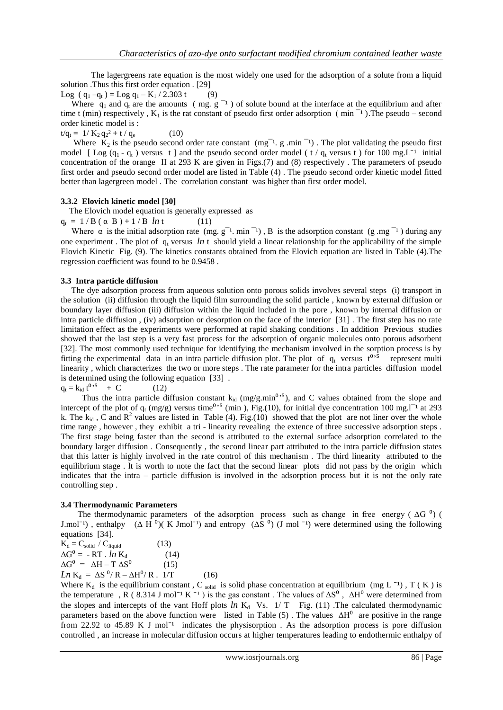The lagergreens rate equation is the most widely one used for the adsorption of a solute from a liquid solution .Thus this first order equation . [29]

Log ( $q_1 - q_t$ ) = Log  $q_1 - K_1 / 2.303$  t (9)

Where  $q_1$  and  $q_t$  are the amounts ( mg. g  $^{-1}$  ) of solute bound at the interface at the equilibrium and after time t (min) respectively,  $K_1$  is the rat constant of pseudo first order adsorption (min<sup>-1</sup>). The pseudo – second order kinetic model is :

 $t/q_t = 1/K_2 q_2^2 + t/q_e$ (10)

Where  $K_2$  is the pseudo second order rate constant (mg<sup>-1</sup>. g .min<sup>-1</sup>). The plot validating the pseudo first model [ Log  $(q_1 - q_t)$  versus t ] and the pseudo second order model ( t /  $q_t$  versus t ) for 100 mg. L<sup>-1</sup> initial concentration of the orange II at 293 K are given in Figs.(7) and (8) respectively. The parameters of pseudo first order and pseudo second order model are listed in Table (4) . The pseudo second order kinetic model fitted better than lagergreen model . The correlation constant was higher than first order model.

#### **3.3.2 Elovich kinetic model [30]**

The Elovich model equation is generally expressed as

 $q_t = 1 / B (\alpha B) + 1 / B \ln t$  (11)

Where  $\alpha$  is the initial adsorption rate (mg.  $g^{-1}$ . min<sup>-1</sup>), B is the adsorption constant (g .mg<sup>-1</sup>) during any one experiment. The plot of  $q_t$  versus *ln* t should yield a linear relationship for the applicability of the simple Elovich Kinetic Fig. (9). The kinetics constants obtained from the Elovich equation are listed in Table (4).The regression coefficient was found to be 0.9458 .

#### **3.3 Intra particle diffusion**

 The dye adsorption process from aqueous solution onto porous solids involves several steps (i) transport in the solution (ii) diffusion through the liquid film surrounding the solid particle , known by external diffusion or boundary layer diffusion (iii) diffusion within the liquid included in the pore , known by internal diffusion or intra particle diffusion , (iv) adsorption or desorption on the face of the interior [31] . The first step has no rate limitation effect as the experiments were performed at rapid shaking conditions . In addition Previous studies showed that the last step is a very fast process for the adsorption of organic molecules onto porous adsorbent [32]. The most commonly used technique for identifying the mechanism involved in the sorption process is by fitting the experimental data in an intra particle diffusion plot. The plot of  $q_t$  versus  $t^{0.5}$ represent multi linearity , which characterizes the two or more steps . The rate parameter for the intra particles diffusion model is determined using the following equation [33] .

 $q_t = k_{id} t^{0.5} + C$  (12)

Thus the intra particle diffusion constant  $k_{id}$  (mg/g.min<sup>0,5</sup>), and C values obtained from the slope and intercept of the plot of  $q_t$  (mg/g) versus time<sup>0,5</sup> (min), Fig.(10), for initial dye concentration 100 mg.l<sup>-1</sup> at 293 k. The  $k_{id}$ , C and  $R^2$  values are listed in Table (4). Fig.(10) showed that the plot are not liner over the whole time range , however , they exhibit a tri - linearity revealing the extence of three successive adsorption steps . The first stage being faster than the second is attributed to the external surface adsorption correlated to the boundary larger diffusion . Consequently , the second linear part attributed to the intra particle diffusion states that this latter is highly involved in the rate control of this mechanism . The third linearity attributed to the equilibrium stage . lt is worth to note the fact that the second linear plots did not pass by the origin which indicates that the intra – particle diffusion is involved in the adsorption process but it is not the only rate controlling step .

#### **3.4 Thermodynamic Parameters**

The thermodynamic parameters of the adsorption process such as change in free energy ( $\Delta G^0$ ) ( J.mol<sup>-1</sup>), enthalpy  $(Δ H<sup>0</sup>)(K Jmol<sup>-1</sup>)$  and entropy  $(ΔS<sup>0</sup>) (J mol<sup>-1</sup>)$  were determined using the following equations [34].

 $K_d = C_{solid} / C_{liquid}$  (13)  $\Delta G^0 = -RT$  . *ln* K<sub>d</sub> (14)  $\Delta G^0 = \Delta H - T \Delta S^0$  (15)  $Ln K_d = \Delta S^0 / R - \Delta H^0 / R$ . 1/T (16)

Where  $K_d$  is the equilibrium constant, C solid is solid phase concentration at equilibrium (mg L<sup>-1</sup>), T (K) is the temperature , R (8.314 J mol<sup>-1</sup> K<sup>-1</sup>) is the gas constant . The values of  $\Delta S^0$ ,  $\Delta H^0$  were determined from the slopes and intercepts of the vant Hoff plots  $ln K_d$  Vs.  $1/T$  Fig. (11) .The calculated thermodynamic parameters based on the above function were listed in Table (5). The values  $\Delta H^0$  are positive in the range from 22.92 to 45.89 K J mol<sup>-1</sup> indicates the physisorption . As the adsorption process is pore diffusion controlled , an increase in molecular diffusion occurs at higher temperatures leading to endothermic enthalpy of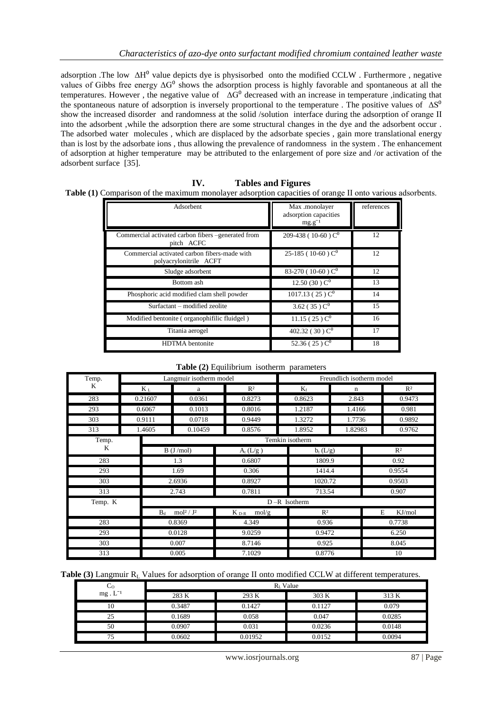adsorption .The low  $\Delta H^0$  value depicts dye is physisorbed onto the modified CCLW . Furthermore , negative values of Gibbs free energy  $\Delta G^0$  shows the adsorption process is highly favorable and spontaneous at all the temperatures. However, the negative value of  $\Delta G^0$  decreased with an increase in temperature ,indicating that the spontaneous nature of adsorption is inversely proportional to the temperature . The positive values of  $\Delta S^0$ show the increased disorder and randomness at the solid /solution interface during the adsorption of orange II into the adsorbent ,while the adsorption there are some structural changes in the dye and the adsorbent occur . The adsorbed water molecules , which are displaced by the adsorbate species , gain more translational energy than is lost by the adsorbate ions , thus allowing the prevalence of randomness in the system . The enhancement of adsorption at higher temperature may be attributed to the enlargement of pore size and /or activation of the adsorbent surface [35].

| IV. |  | <b>Tables and Figures</b> |
|-----|--|---------------------------|
|     |  |                           |

Table (1) Comparison of the maximum monolayer adsorption capacities of orange II onto various adsorbents.

| Adsorbent                                                              | Max .monolayer<br>adsorption capacities<br>$mg.g^{-1}$ | references |
|------------------------------------------------------------------------|--------------------------------------------------------|------------|
| Commercial activated carbon fibers -generated from<br>pitch ACFC       | 209-438 (10-60) $C^0$                                  | 12         |
| Commercial activated carbon fibers-made with<br>polyacrylonitrile ACFT | 25-185 (10-60) $C^0$                                   | 12         |
| Sludge adsorbent                                                       | 83-270 (10-60) $C^0$                                   | 12         |
| Bottom ash                                                             | 12.50 (30) $C^0$                                       | 13         |
| Phosphoric acid modified clam shell powder                             | $1017.13(25)$ C <sup>0</sup>                           | 14         |
| Surfactant – modified zeolite                                          | 3.62 (35) $C^0$                                        | 15         |
| Modified bentonite (organophifilic fluidgel)                           | $11.15(25)$ C <sup>0</sup>                             | 16         |
| Titania aerogel                                                        | 402.32 (30) $C^0$                                      | 17         |
| <b>HDTMA</b> bentonite                                                 | 52.36 (25) $C^0$                                       | 18         |

| Table (2) Equilibrium isotherm parameters |  |  |
|-------------------------------------------|--|--|
|-------------------------------------------|--|--|

| Temp.   |        |                                           | Langmuir isotherm model |                    | Freundlich isotherm model |             |             |  |
|---------|--------|-------------------------------------------|-------------------------|--------------------|---------------------------|-------------|-------------|--|
| K       |        | $K_L$<br>a                                |                         | $R^2$              | $K_f$                     | $\mathbf n$ | $R^2$       |  |
| 283     |        | 0.21607                                   | 0.0361                  | 0.8273             | 0.8623                    | 2.843       | 0.9473      |  |
| 293     |        | 0.6067                                    | 0.1013                  | 0.8016             | 1.2187                    | 1.4166      | 0.981       |  |
| 303     |        | 0.9111                                    | 0.0718                  | 0.9449             | 1.3272                    | 1.7736      | 0.9892      |  |
| 313     |        | 1.4605                                    | 0.10459                 | 0.8576             | 1.8952                    | 1.82983     | 0.9762      |  |
| Temp.   |        | Temkin isotherm                           |                         |                    |                           |             |             |  |
| K       |        | B (J/mol)                                 |                         | $A_t(L/g)$         | $b_t(L/g)$                |             | $R^2$       |  |
| 283     |        | 1.3                                       |                         | 0.6807             | 1809.9                    |             | 0.92        |  |
| 293     |        | 1.69                                      |                         | 0.306              | 1414.4                    |             | 0.9554      |  |
| 303     |        | 2.6936                                    |                         | 0.8927             | 1020.72                   |             | 0.9503      |  |
| 313     |        | 2.743                                     |                         | 0.7811             | 713.54                    |             | 0.907       |  |
| Temp. K |        | $D - R$ Isotherm                          |                         |                    |                           |             |             |  |
|         |        | mol <sup>2</sup> /J <sup>2</sup><br>$B_d$ |                         | $K_{D-R}$<br>mol/g | R <sup>2</sup>            |             | E<br>KJ/mol |  |
| 283     | 0.8369 |                                           | 4.349                   | 0.936              |                           | 0.7738      |             |  |
| 293     | 0.0128 |                                           | 9.0259                  | 0.9472             |                           | 6.250       |             |  |
| 303     | 0.007  |                                           | 8.7146                  | 0.925              |                           | 8.045       |             |  |
| 313     |        | 0.005                                     | 7.1029                  | 0.8776             |                           | 10          |             |  |

Table (3) Langmuir R<sub>L</sub> Values for adsorption of orange II onto modified CCLW at different temperatures.

| Co                 | $RL$ Value |         |        |        |  |  |
|--------------------|------------|---------|--------|--------|--|--|
| $mg \tcdot L^{-1}$ | 283 K      | 293 K   | 303 K  | 313 K  |  |  |
| 10                 | 0.3487     | 0.1427  | 0.1127 | 0.079  |  |  |
| 25                 | 0.1689     | 0.058   | 0.047  | 0.0285 |  |  |
| 50                 | 0.0907     | 0.031   | 0.0236 | 0.0148 |  |  |
|                    | 0.0602     | 0.01952 | 0.0152 | 0.0094 |  |  |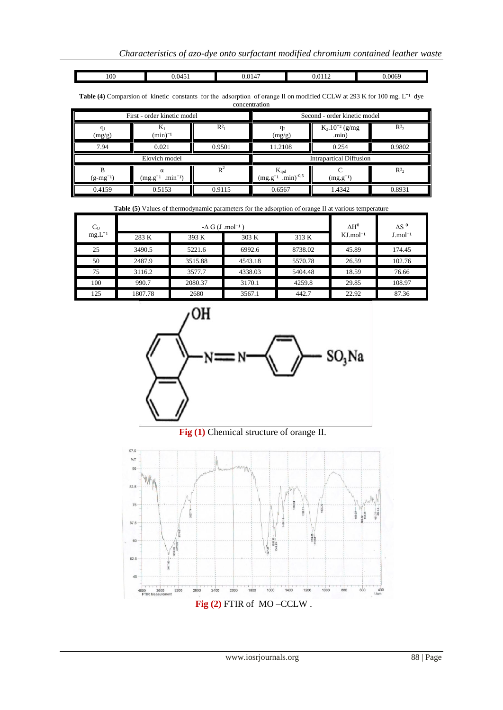100 0.0451 0.0147 0.0112 0.0069

Table (4) Comparsion of kinetic constants for the adsorption of orange II on modified CCLW at 293 K for 100 mg. L<sup>-1</sup> dye concentration

|                    | First - order kinetic model             |        | Second - order kinetic model                     |                              |        |  |
|--------------------|-----------------------------------------|--------|--------------------------------------------------|------------------------------|--------|--|
| $q_1$<br>(mg/g)    | K<br>$(min)^{-1}$                       | $R^2$  | $q_2$<br>(mg/g)                                  | $K_2.10^{-2}$ (g/mg<br>.min) | $R^2$  |  |
| 7.94               | 0.021                                   | 0.9501 | 11.2108                                          | 0.254                        | 0.9802 |  |
|                    | Elovich model                           |        | <b>Intrapartical Diffusion</b>                   |                              |        |  |
| в<br>$(g-mg^{-1})$ | $\alpha$<br>$min^{-1}$<br>$(mg.g^{-1})$ | $R^2$  | $K_{ipd}$<br>$(mg.g^{-1})$ .min) <sup>-0,5</sup> | $(mg.g^{-1})$                | $R^2$  |  |
| 0.4159             | 0.5153                                  | 0.9115 | 0.6567                                           | 1.4342                       | 0.8931 |  |

| <b>Table (5)</b> Values of thermodynamic parameters for the adsorption of orange II at various temperature |         |                                     |                          |              |                         |                        |  |
|------------------------------------------------------------------------------------------------------------|---------|-------------------------------------|--------------------------|--------------|-------------------------|------------------------|--|
| C <sub>o</sub>                                                                                             |         | $-\Delta G$ (J .mol <sup>-1</sup> ) | $\Lambda$ H <sup>o</sup> | $\Delta S^0$ |                         |                        |  |
| $mg.L^{-1}$                                                                                                | 283 K   | 393 K                               | 303 K                    | 313 K        | $KJ$ .mol <sup>-1</sup> | $J$ .mol <sup>-1</sup> |  |
| 25                                                                                                         | 3490.5  | 5221.6                              | 6992.6                   | 8738.02      | 45.89                   | 174.45                 |  |
| 50                                                                                                         | 2487.9  | 3515.88                             | 4543.18                  | 5570.78      | 26.59                   | 102.76                 |  |
| 75                                                                                                         | 3116.2  | 3577.7                              | 4338.03                  | 5404.48      | 18.59                   | 76.66                  |  |
| 100                                                                                                        | 990.7   | 2080.37                             | 3170.1                   | 4259.8       | 29.85                   | 108.97                 |  |
| 125                                                                                                        | 1807.78 | 2680                                | 3567.1                   | 442.7        | 22.92                   | 87.36                  |  |



# **Fig (1)** Chemical structure of orange II.

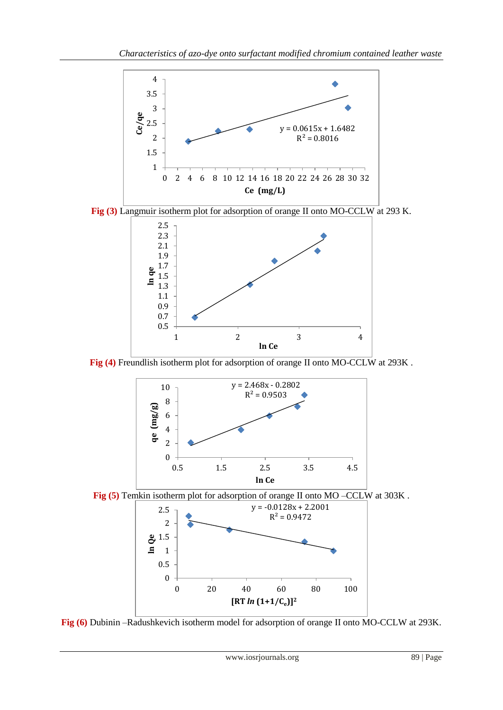





Fig (4) Freundlish isotherm plot for adsorption of orange II onto MO-CCLW at 293K.



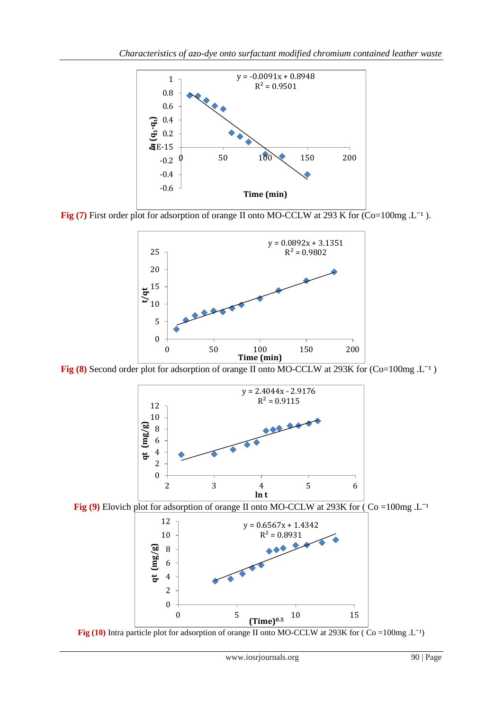

**Fig (7)** First order plot for adsorption of orange II onto MO-CCLW at 293 K for (Co=100mg .L<sup>-1</sup>).



Fig (8) Second order plot for adsorption of orange II onto MO-CCLW at 293K for (Co=100mg .L<sup>-1</sup>)



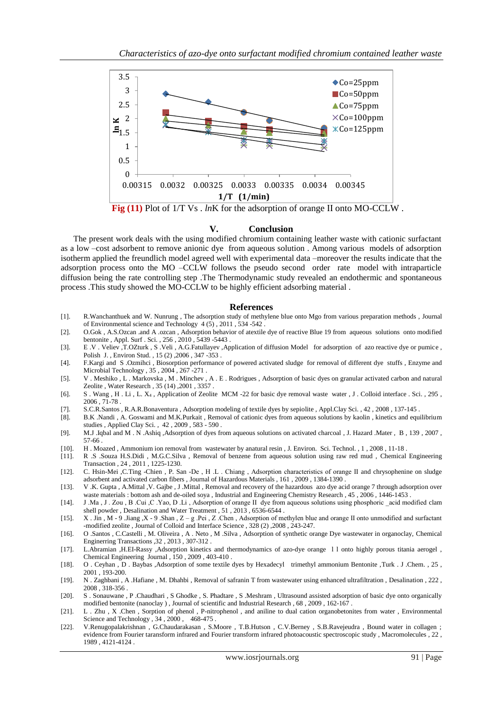

**Fig (11)** Plot of  $1/T$  Vs . *ln*K for the adsorption of orange II onto MO-CCLW.

#### **V. Conclusion**

 The present work deals with the using modified chromium containing leather waste with cationic surfactant as a low –cost adsorbent to remove anionic dye from aqueous solution . Among various models of adsorption isotherm applied the freundlich model agreed well with experimental data –moreover the results indicate that the adsorption process onto the MO –CCLW follows the pseudo second order rate model with intraparticle diffusion being the rate controlling step .The Thermodynamic study revealed an endothermic and spontaneous process .This study showed the MO-CCLW to be highly efficient adsorbing material .

#### **References**

- [1]. R.Wanchanthuek and W. Nunrung , The adsorption study of methylene blue onto Mgo from various preparation methods , Journal of Environmental science and Technology 4 (5) , 2011 , 534 -542 .
- [2]. O.Gok , A.S.Ozcan .and A .ozcan , Adsorption behavior of atextile dye of reactive Blue 19 from aqueous solutions onto modified bentonite , Appl. Surf . Sci. , 256 , 2010 , 5439 -5443 .
- [3]. E .V . Veliev ,T.OZturk , S .Veli , A.G.Fatullayev ,Application of diffusion Model for adsorption of azo reactive dye or pumice , Polish J. , Environ Stud. , 15 (2) ,2006 , 347 -353 .
- [4]. F.Kargi and S .Ozmihci , Biosorption performance of powered activated sludge for removal of different dye stuffs , Enzyme and Microbial Technology , 35 , 2004 , 267 -271 .
- [5]. V . Meshiko , L . Markovska , M . Minchev , A . E . Rodrigues , Adsorption of basic dyes on granular activated carbon and natural Zeolite , Water Research , 35 (14) ,2001 , 3357 .
- [6]. S . Wang , H . Li , L. X<sup>4</sup> , Application of Zeolite MCM -22 for basic dye removal waste water , J . Colloid interface . Sci. , 295 , 2006 , 71-78 .
- [7]. S.C.R.Santos , R.A.R.Bonaventura , Adsorption modeling of textile dyes by sepiolite , Appl.Clay Sci. , 42 , 2008 , 137-145 .
- [8]. B.K .Nandi , A. Goswami and M.K.Purkait , Removal of cationic dyes from aqueous solutions by kaolin , kinetics and equilibrium studies , Applied Clay Sci. , 42 , 2009 , 583 - 590 .
- [9]. M.J .Iqbal and M . N .Ashiq ,Adsorption of dyes from aqueous solutions on activated charcoal , J. Hazard .Mater , B , 139 , 2007 , 57-66 .
- [10]. H . Moazed , Ammonium ion removal from wastewater by anatural resin , J. Environ. Sci. Technol. , 1 , 2008 , 11-18 .
- [11]. R .S .Souza H.S.Didi , M.G.C.Silva , Removal of benzene from aqueous solution using raw red mud , Chemical Engineering Transaction , 24 , 2011 , 1225-1230.
- [12]. C. Hsin-Mei ,C.Ting -Chien , P. San -De , H .L . Chiang , Adsorption characteristics of orange II and chrysophenine on sludge adsorbent and activated carbon fibers , Journal of Hazardous Materials , 161 , 2009 , 1384-1390 .
- [13]. V .K. Gupta , A.Mittal ,V. Gajbe , J .Mittal , Removal and recovery of the hazardous azo dye acid orange 7 through adsorption over waste materials : bottom ash and de-oiled soya , Industrial and Engineering Chemistry Research , 45 , 2006 , 1446-1453 .
- [14]. J .Ma , J . Zou , B .Cui ,C .Yao, D .Li , Adsorption of orange II dye from aqueous solutions using phosphoric \_acid modified clam shell powder , Desalination and Water Treatment , 51 , 2013 , 6536-6544 .
- [15]. X . Jin , M 9 .Jiang ,X 9 .Shan , Z g .Pei , Z .Chen , Adsorption of methylen blue and orange II onto unmodified and surfactant -modified zeolite , Journal of Colloid and Interface Science , 328 (2) ,2008 , 243-247.
- [16]. O .Santos , C.Castelli , M. Oliveira , A . Neto , M .Silva , Adsorption of synthetic orange Dye wastewater in organoclay, Chemical Enginerring Transactions ,32 , 2013 , 307-312 .
- [17]. L.Abramian ,H.EI-Rassy ,Adsorption kinetics and thermodynamics of azo-dye orange l l onto highly porous titania aerogel , Chemical Engineering Journal , 150 , 2009 , 403-410 .
- [18]. O . Ceyhan , D . Baybas ,Adsorption of some textile dyes by Hexadecyl trimethyl ammonium Bentonite ,Turk . J .Chem. , 25 , 2001 , 193-200.
- [19]. N . Zaghbani , A .Hafiane , M. Dhahbi , Removal of safranin T from wastewater using enhanced ultrafiltration , Desalination , 222 , 2008 , 318-356 .
- [20]. S . Sonauwane , P .Chaudhari , S Ghodke , S. Phadtare , S .Meshram , Ultrasound assisted adsorption of basic dye onto organically modified bentonite (nanoclay ) , Journal of scientific and Industrial Research , 68 , 2009 , 162-167 .
- [21]. L . Zhu , X .Chen , Sorption of phenol , P-nitrophenol , and aniline to dual cation organobetonites from water , Environmental Science and Technology , 34 , 2000 , 468-475 .
- [22]. V.Renugopalakrishnan , G.Chaudarakasan , S.Moore , T.B.Hutson , C.V.Berney , S.B.Ravejeudra , Bound water in collagen ; evidence from Fourier taransform infrared and Fourier transform infrared photoacoustic spectroscopic study , Macromolecules , 22 , 1989 , 4121-4124 .